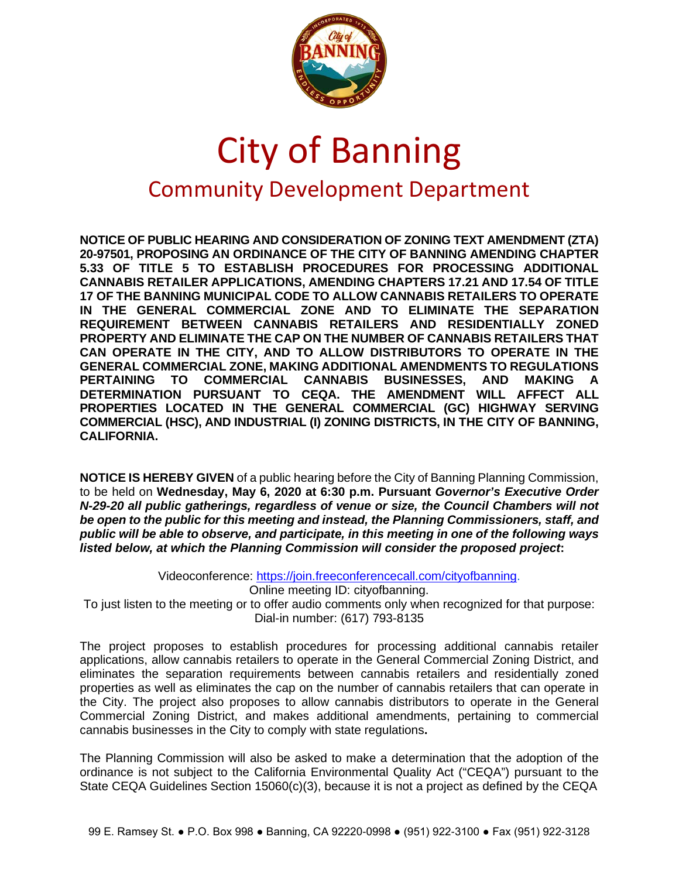

## City of Banning Community Development Department

**NOTICE OF PUBLIC HEARING AND CONSIDERATION OF ZONING TEXT AMENDMENT (ZTA) 20-97501, PROPOSING AN ORDINANCE OF THE CITY OF BANNING AMENDING CHAPTER 5.33 OF TITLE 5 TO ESTABLISH PROCEDURES FOR PROCESSING ADDITIONAL CANNABIS RETAILER APPLICATIONS, AMENDING CHAPTERS 17.21 AND 17.54 OF TITLE 17 OF THE BANNING MUNICIPAL CODE TO ALLOW CANNABIS RETAILERS TO OPERATE IN THE GENERAL COMMERCIAL ZONE AND TO ELIMINATE THE SEPARATION REQUIREMENT BETWEEN CANNABIS RETAILERS AND RESIDENTIALLY ZONED PROPERTY AND ELIMINATE THE CAP ON THE NUMBER OF CANNABIS RETAILERS THAT CAN OPERATE IN THE CITY, AND TO ALLOW DISTRIBUTORS TO OPERATE IN THE GENERAL COMMERCIAL ZONE, MAKING ADDITIONAL AMENDMENTS TO REGULATIONS PERTAINING TO COMMERCIAL CANNABIS BUSINESSES, AND MAKING A DETERMINATION PURSUANT TO CEQA. THE AMENDMENT WILL AFFECT ALL PROPERTIES LOCATED IN THE GENERAL COMMERCIAL (GC) HIGHWAY SERVING COMMERCIAL (HSC), AND INDUSTRIAL (I) ZONING DISTRICTS, IN THE CITY OF BANNING, CALIFORNIA.**

**NOTICE IS HEREBY GIVEN** of a public hearing before the City of Banning Planning Commission, to be held on **Wednesday, May 6, 2020 at 6:30 p.m. Pursuant** *Governor's Executive Order N-29-20 all public gatherings, regardless of venue or size, the Council Chambers will not be open to the public for this meeting and instead, the Planning Commissioners, staff, and public will be able to observe, and participate, in this meeting in one of the following ways listed below, at which the Planning Commission will consider the proposed project***:**

Videoconference: [https://join.freeconferencecall.com/cityofbanning.](https://join.freeconferencecall.com/cityofbanning) Online meeting ID: cityofbanning. To just listen to the meeting or to offer audio comments only when recognized for that purpose: Dial-in number: (617) 793-8135

The project proposes to establish procedures for processing additional cannabis retailer applications, allow cannabis retailers to operate in the General Commercial Zoning District, and eliminates the separation requirements between cannabis retailers and residentially zoned properties as well as eliminates the cap on the number of cannabis retailers that can operate in the City. The project also proposes to allow cannabis distributors to operate in the General Commercial Zoning District, and makes additional amendments, pertaining to commercial cannabis businesses in the City to comply with state regulations**.** 

The Planning Commission will also be asked to make a determination that the adoption of the ordinance is not subject to the California Environmental Quality Act ("CEQA") pursuant to the State CEQA Guidelines Section 15060(c)(3), because it is not a project as defined by the CEQA